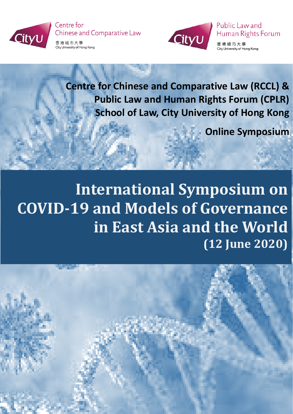

Centre for **Chinese and Comparative Law** 





Public Law and Human Rights Forum

香港城市大學 City University of Hong Kong

**Centre for Chinese and Comparative Law (RCCL) & Public Law and Human Rights Forum (CPLR) School of Law, City University of Hong Kong**

**Online Symposium**

**International Symposium on COVID-19 and Models of Governance in East Asia and the World (12 June 2020)**

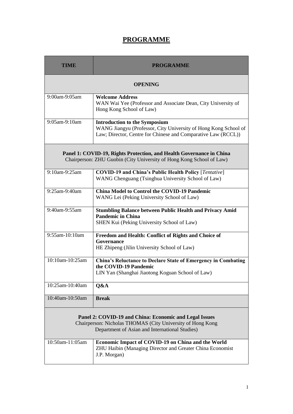## **PROGRAMME**

| TIME                                                                                                                                                                   | <b>PROGRAMME</b>                                                                                                                                                         |  |
|------------------------------------------------------------------------------------------------------------------------------------------------------------------------|--------------------------------------------------------------------------------------------------------------------------------------------------------------------------|--|
| <b>OPENING</b>                                                                                                                                                         |                                                                                                                                                                          |  |
| 9:00am-9:05am                                                                                                                                                          | <b>Welcome Address</b><br>WAN Wai Yee (Professor and Associate Dean, City University of<br>Hong Kong School of Law)                                                      |  |
| 9:05am-9:10am                                                                                                                                                          | <b>Introduction to the Symposium</b><br>WANG Jiangyu (Professor, City University of Hong Kong School of<br>Law; Director, Centre for Chinese and Comparative Law (RCCL)) |  |
| Panel 1: COVID-19, Rights Protection, and Health Governance in China<br>Chairperson: ZHU Guobin (City University of Hong Kong School of Law)                           |                                                                                                                                                                          |  |
| 9:10am-9:25am                                                                                                                                                          | <b>COVID-19 and China's Public Health Policy [Tentative]</b><br>WANG Chenguang (Tsinghua University School of Law)                                                       |  |
| $9:25$ am- $9:40$ am                                                                                                                                                   | <b>China Model to Control the COVID-19 Pandemic</b><br>WANG Lei (Peking University School of Law)                                                                        |  |
| 9:40am-9:55am                                                                                                                                                          | <b>Stumbling Balance between Public Health and Privacy Amid</b><br><b>Pandemic in China</b><br>SHEN Kui (Peking University School of Law)                                |  |
| 9:55am-10:10am                                                                                                                                                         | Freedom and Health: Conflict of Rights and Choice of<br>Governance<br>HE Zhipeng (Jilin University School of Law)                                                        |  |
| 10:10am-10:25am                                                                                                                                                        | <b>China's Reluctance to Declare State of Emergency in Combating</b><br>the COVID-19 Pandemic<br>LIN Yan (Shanghai Jiaotong Koguan School of Law)                        |  |
| 10:25am-10:40am                                                                                                                                                        | Q&A                                                                                                                                                                      |  |
| 10:40am-10:50am                                                                                                                                                        | <b>Break</b>                                                                                                                                                             |  |
| Panel 2: COVID-19 and China: Economic and Legal Issues<br>Chairperson: Nicholas THOMAS (City University of Hong Kong<br>Department of Asian and International Studies) |                                                                                                                                                                          |  |
| 10:50am-11:05am                                                                                                                                                        | Economic Impact of COVID-19 on China and the World<br>ZHU Haibin (Managing Director and Greater China Economist<br>J.P. Morgan)                                          |  |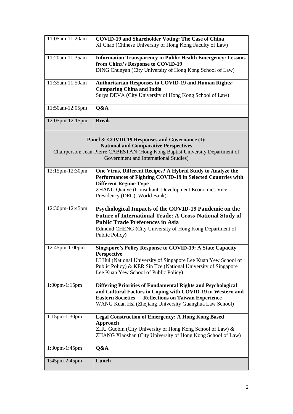| 11:05am-11:20am      | <b>COVID-19 and Shareholder Voting: The Case of China</b>                                                                          |
|----------------------|------------------------------------------------------------------------------------------------------------------------------------|
|                      | XI Chao (Chinese University of Hong Kong Faculty of Law)                                                                           |
| 11:20am-11:35am      | <b>Information Transparency in Public Health Emergency: Lessons</b>                                                                |
|                      | from China's Response to COVID-19<br>DING Chunyan (City University of Hong Kong School of Law)                                     |
|                      |                                                                                                                                    |
| 11:35am-11:50am      | <b>Authoritarian Responses to COVID-19 and Human Rights:</b>                                                                       |
|                      | <b>Comparing China and India</b>                                                                                                   |
|                      | Surya DEVA (City University of Hong Kong School of Law)                                                                            |
| 11:50am-12:05pm      | Q&A                                                                                                                                |
| 12:05pm-12:15pm      | <b>Break</b>                                                                                                                       |
|                      | Panel 3: COVID-19 Responses and Governance (I):                                                                                    |
|                      | <b>National and Comparative Perspectives</b>                                                                                       |
|                      | Chairperson: Jean-Pierre CABESTAN (Hong Kong Baptist University Department of                                                      |
|                      | Government and International Studies)                                                                                              |
| 12:15pm-12:30pm      | One Virus, Different Recipes? A Hybrid Study to Analyze the                                                                        |
|                      | Performances of Fighting COVID-19 in Selected Countries with                                                                       |
|                      | <b>Different Regime Type</b><br>ZHANG Qianye (Consultant, Development Economics Vice                                               |
|                      | Presidency (DEC), World Bank)                                                                                                      |
|                      |                                                                                                                                    |
| 12:30pm-12:45pm      | Psychological Impacts of the COVID-19 Pandemic on the                                                                              |
|                      | <b>Future of International Trade: A Cross-National Study of</b><br><b>Public Trade Preferences in Asia</b>                         |
|                      | Edmund CHENG (City University of Hong Kong Department of                                                                           |
|                      | Public Policy)                                                                                                                     |
| 12:45pm-1:00pm       | <b>Singapore's Policy Response to COVID-19: A State Capacity</b>                                                                   |
|                      | <b>Perspective</b>                                                                                                                 |
|                      | LI Hui (National University of Singapore Lee Kuan Yew School of                                                                    |
|                      | Public Policy) & KER Sin Tze (National University of Singapore<br>Lee Kuan Yew School of Public Policy)                            |
|                      |                                                                                                                                    |
| $1:00$ pm- $1:15$ pm | <b>Differing Priorities of Fundamental Rights and Psychological</b><br>and Cultural Factors in Coping with COVID-19 in Western and |
|                      | <b>Eastern Societies — Reflections on Taiwan Experience</b>                                                                        |
|                      | WANG Kuan Hsi (Zhejiang University Guanghua Law School)                                                                            |
| $1:15$ pm- $1:30$ pm | <b>Legal Construction of Emergency: A Hong Kong Based</b>                                                                          |
|                      | <b>Approach</b>                                                                                                                    |
|                      | ZHU Guobin (City University of Hong Kong School of Law) &<br>ZHANG Xiaoshan (City University of Hong Kong School of Law)           |
|                      |                                                                                                                                    |
| 1:30pm-1:45pm        | Q&A                                                                                                                                |
| 1:45pm-2:45pm        | Lunch                                                                                                                              |
|                      |                                                                                                                                    |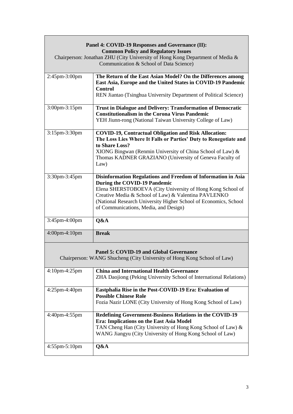| Panel 4: COVID-19 Responses and Governance (II):                                                                         |                                                                                                                                  |  |  |
|--------------------------------------------------------------------------------------------------------------------------|----------------------------------------------------------------------------------------------------------------------------------|--|--|
| <b>Common Policy and Regulatory Issues</b>                                                                               |                                                                                                                                  |  |  |
| Chairperson: Jonathan ZHU (City University of Hong Kong Department of Media &<br>Communication & School of Data Science) |                                                                                                                                  |  |  |
| 2:45pm-3:00pm                                                                                                            | The Return of the East Asian Model? On the Differences among<br>East Asia, Europe and the United States in COVID-19 Pandemic     |  |  |
|                                                                                                                          | <b>Control</b><br>REN Jiantao (Tsinghua University Department of Political Science)                                              |  |  |
| 3:00pm-3:15pm                                                                                                            | <b>Trust in Dialogue and Delivery: Transformation of Democratic</b><br><b>Constitutionalism in the Corona Virus Pandemic</b>     |  |  |
|                                                                                                                          | YEH Jiunn-rong (National Taiwan University College of Law)                                                                       |  |  |
| 3:15pm-3:30pm                                                                                                            | <b>COVID-19, Contractual Obligation and Risk Allocation:</b><br>The Loss Lies Where It Falls or Parties' Duty to Renegotiate and |  |  |
|                                                                                                                          | to Share Loss?<br>XIONG Bingwan (Renmin University of China School of Law) &                                                     |  |  |
|                                                                                                                          | Thomas KADNER GRAZIANO (University of Geneva Faculty of<br>Law)                                                                  |  |  |
| 3:30pm-3:45pm                                                                                                            | Disinformation Regulations and Freedom of Information in Asia                                                                    |  |  |
|                                                                                                                          | During the COVID-19 Pandemic<br>Elena SHERSTOBOEVA (City University of Hong Kong School of                                       |  |  |
|                                                                                                                          | Creative Media & School of Law) & Valentina PAVLENKO<br>(National Research University Higher School of Economics, School         |  |  |
|                                                                                                                          | of Communications, Media, and Design)                                                                                            |  |  |
| 3:45pm-4:00pm                                                                                                            | Q&A                                                                                                                              |  |  |
| 4:00pm-4:10pm                                                                                                            | <b>Break</b>                                                                                                                     |  |  |
|                                                                                                                          | Panel 5: COVID-19 and Global Governance                                                                                          |  |  |
| Chairperson: WANG Shucheng (City University of Hong Kong School of Law)                                                  |                                                                                                                                  |  |  |
| $4:10$ pm- $4:25$ pm                                                                                                     | <b>China and International Health Governance</b><br>ZHA Daojiong (Peking University School of International Relations)           |  |  |
| 4:25pm-4:40pm                                                                                                            | Eastphalia Rise in the Post-COVID-19 Era: Evaluation of<br><b>Possible Chinese Role</b>                                          |  |  |
|                                                                                                                          | Fozia Nazir LONE (City University of Hong Kong School of Law)                                                                    |  |  |
| 4:40pm-4:55pm                                                                                                            | <b>Redefining Government-Business Relations in the COVID-19</b><br>Era: Implications on the East Asia Model                      |  |  |
|                                                                                                                          | TAN Cheng Han (City University of Hong Kong School of Law) &<br>WANG Jiangyu (City University of Hong Kong School of Law)        |  |  |
| 4:55pm-5:10pm                                                                                                            | Q&A                                                                                                                              |  |  |